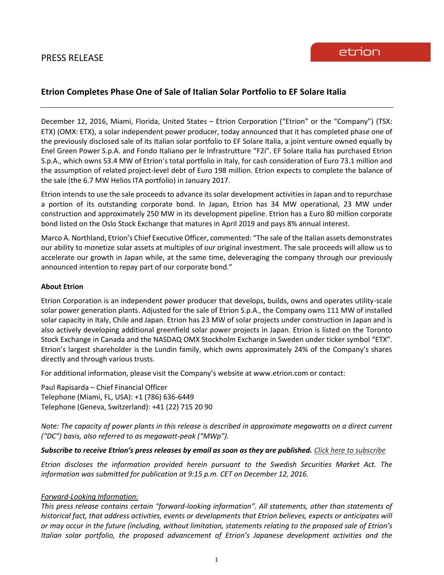## **Etrion Completes Phase One of Sale of Italian Solar Portfolio to EF Solare Italia**

December 12, 2016, Miami, Florida, United States – Etrion Corporation ("Etrion" or the "Company") (TSX: ETX) (OMX: ETX), a solar independent power producer, today announced that it has completed phase one of the previously disclosed sale of its Italian solar portfolio to EF Solare Italia, a joint venture owned equally by Enel Green Power S.p.A. and Fondo Italiano per le Infrastrutture "F2i". EF Solare Italia has purchased Etrion S.p.A., which owns 53.4 MW of Etrion's total portfolio in Italy, for cash consideration of Euro 73.1 million and the assumption of related project-level debt of Euro 198 million. Etrion expects to complete the balance of the sale (the 6.7 MW Helios ITA portfolio) in January 2017.

Etrion intends to use the sale proceeds to advance its solar development activities in Japan and to repurchase a portion of its outstanding corporate bond. In Japan, Etrion has 34 MW operational, 23 MW under construction and approximately 250 MW in its development pipeline. Etrion has a Euro 80 million corporate bond listed on the Oslo Stock Exchange that matures in April 2019 and pays 8% annual interest.

Marco A. Northland, Etrion's Chief Executive Officer, commented: "The sale of the Italian assets demonstrates our ability to monetize solar assets at multiples of our original investment. The sale proceeds will allow us to accelerate our growth in Japan while, at the same time, deleveraging the company through our previously announced intention to repay part of our corporate bond."

## **About Etrion**

Etrion Corporation is an independent power producer that develops, builds, owns and operates utility-scale solar power generation plants. Adjusted for the sale of Etrion S.p.A., the Company owns 111 MW of installed solar capacity in Italy, Chile and Japan. Etrion has 23 MW of solar projects under construction in Japan and is also actively developing additional greenfield solar power projects in Japan. Etrion is listed on the Toronto Stock Exchange in Canada and the NASDAQ OMX Stockholm Exchange in Sweden under ticker symbol "ETX". Etrion's largest shareholder is the Lundin family, which owns approximately 24% of the Company's shares directly and through various trusts.

For additional information, please visit the Company's website at www.etrion.com or contact:

Paul Rapisarda – Chief Financial Officer Telephone (Miami, FL, USA): +1 (786) 636-6449 Telephone (Geneva, Switzerland): +41 (22) 715 20 90

*Note: The capacity of power plants in this release is described in approximate megawatts on a direct current ("DC") basis, also referred to as megawatt-peak ("MWp").*

## *Subscribe to receive Etrion's press releases by email as soon as they are published. [Click here to subscribe](https://www.etrion.com/press_release_subscribe.php)*

*Etrion discloses the information provided herein pursuant to the Swedish Securities Market Act. The information was submitted for publication at 9:15 p.m. CET on December 12, 2016.*

## *Forward-Looking Information:*

*This press release contains certain "forward-looking information". All statements, other than statements of historical fact, that address activities, events or developments that Etrion believes, expects or anticipates will or may occur in the future (including, without limitation, statements relating to the proposed sale of Etrion's Italian solar portfolio, the proposed advancement of Etrion's Japanese development activities and the*